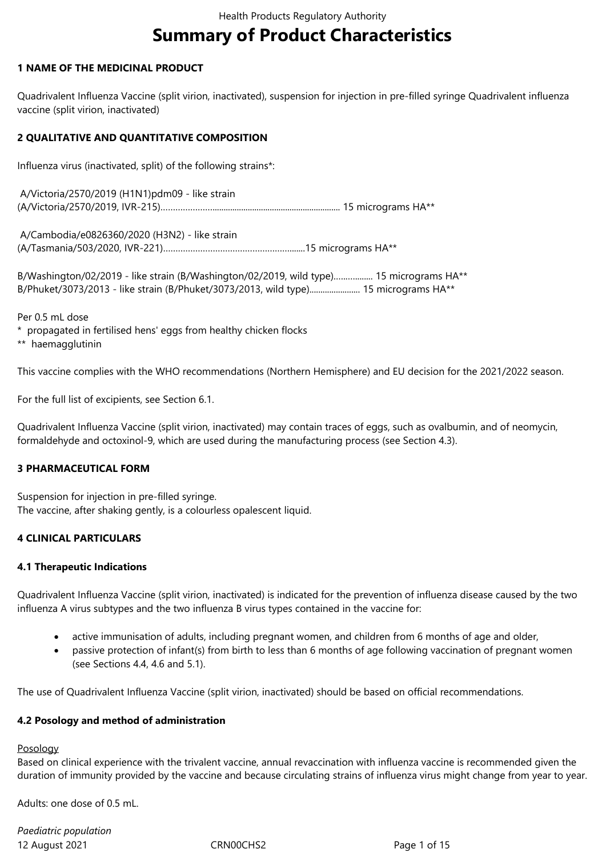# **Summary of Product Characteristics**

# **1 NAME OF THE MEDICINAL PRODUCT**

Quadrivalent Influenza Vaccine (split virion, inactivated), suspension for injection in pre-filled syringe Quadrivalent influenza vaccine (split virion, inactivated)

#### **2 QUALITATIVE AND QUANTITATIVE COMPOSITION**

Influenza virus (inactivated, split) of the following strains\*:

| A/Victoria/2570/2019 (H1N1)pdm09 - like strain |  |
|------------------------------------------------|--|
|                                                |  |

 A/Cambodia/e0826360/2020 (H3N2) - like strain (A/Tasmania/503/2020, IVR-221)…………………………………………….......15 micrograms HA\*\*

B/Washington/02/2019 - like strain (B/Washington/02/2019, wild type).................. 15 micrograms HA\*\* B/Phuket/3073/2013 - like strain (B/Phuket/3073/2013, wild type)........................ 15 micrograms HA\*\*

Per 0.5 mL dose

\* propagated in fertilised hens' eggs from healthy chicken flocks

\*\* haemagglutinin

This vaccine complies with the WHO recommendations (Northern Hemisphere) and EU decision for the 2021/2022 season.

For the full list of excipients, see Section 6.1.

Quadrivalent Influenza Vaccine (split virion, inactivated) may contain traces of eggs, such as ovalbumin, and of neomycin, formaldehyde and octoxinol-9, which are used during the manufacturing process (see Section 4.3).

#### **3 PHARMACEUTICAL FORM**

Suspension for injection in pre-filled syringe. The vaccine, after shaking gently, is a colourless opalescent liquid.

#### **4 CLINICAL PARTICULARS**

#### **4.1 Therapeutic Indications**

Quadrivalent Influenza Vaccine (split virion, inactivated) is indicated for the prevention of influenza disease caused by the two influenza A virus subtypes and the two influenza B virus types contained in the vaccine for:

- active immunisation of adults, including pregnant women, and children from 6 months of age and older,
- passive protection of infant(s) from birth to less than 6 months of age following vaccination of pregnant women (see Sections 4.4, 4.6 and 5.1).

The use of Quadrivalent Influenza Vaccine (split virion, inactivated) should be based on official recommendations.

#### **4.2 Posology and method of administration**

Posology

Based on clinical experience with the trivalent vaccine, annual revaccination with influenza vaccine is recommended given the duration of immunity provided by the vaccine and because circulating strains of influenza virus might change from year to year.

Adults: one dose of 0.5 mL.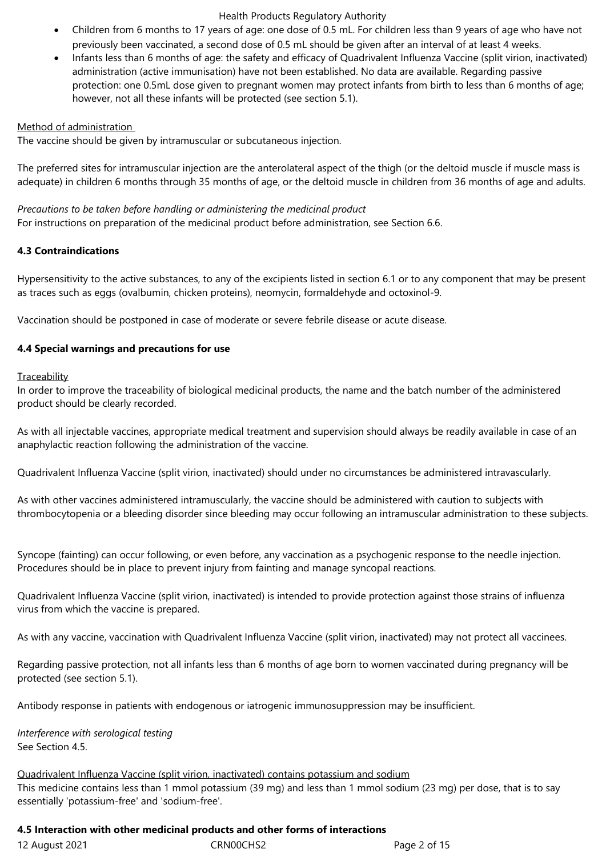- Children from 6 months to 17 years of age: one dose of 0.5 mL. For children less than 9 years of age who have not previously been vaccinated, a second dose of 0.5 mL should be given after an interval of at least 4 weeks.
- Infants less than 6 months of age: the safety and efficacy of Quadrivalent Influenza Vaccine (split virion, inactivated) administration (active immunisation) have not been established. No data are available. Regarding passive protection: one 0.5mL dose given to pregnant women may protect infants from birth to less than 6 months of age; however, not all these infants will be protected (see section 5.1).

#### Method of administration

The vaccine should be given by intramuscular or subcutaneous injection.

The preferred sites for intramuscular injection are the anterolateral aspect of the thigh (or the deltoid muscle if muscle mass is adequate) in children 6 months through 35 months of age, or the deltoid muscle in children from 36 months of age and adults.

*Precautions to be taken before handling or administering the medicinal product* For instructions on preparation of the medicinal product before administration, see Section 6.6.

# **4.3 Contraindications**

Hypersensitivity to the active substances, to any of the excipients listed in section 6.1 or to any component that may be present as traces such as eggs (ovalbumin, chicken proteins), neomycin, formaldehyde and octoxinol-9.

Vaccination should be postponed in case of moderate or severe febrile disease or acute disease.

# **4.4 Special warnings and precautions for use**

# **Traceability**

In order to improve the traceability of biological medicinal products, the name and the batch number of the administered product should be clearly recorded.

As with all injectable vaccines, appropriate medical treatment and supervision should always be readily available in case of an anaphylactic reaction following the administration of the vaccine.

Quadrivalent Influenza Vaccine (split virion, inactivated) should under no circumstances be administered intravascularly.

As with other vaccines administered intramuscularly, the vaccine should be administered with caution to subjects with thrombocytopenia or a bleeding disorder since bleeding may occur following an intramuscular administration to these subjects.

Syncope (fainting) can occur following, or even before, any vaccination as a psychogenic response to the needle injection. Procedures should be in place to prevent injury from fainting and manage syncopal reactions.

Quadrivalent Influenza Vaccine (split virion, inactivated) is intended to provide protection against those strains of influenza virus from which the vaccine is prepared.

As with any vaccine, vaccination with Quadrivalent Influenza Vaccine (split virion, inactivated) may not protect all vaccinees.

Regarding passive protection, not all infants less than 6 months of age born to women vaccinated during pregnancy will be protected (see section 5.1).

Antibody response in patients with endogenous or iatrogenic immunosuppression may be insufficient.

*Interference with serological testing* See Section 4.5.

Quadrivalent Influenza Vaccine (split virion, inactivated) contains potassium and sodium This medicine contains less than 1 mmol potassium (39 mg) and less than 1 mmol sodium (23 mg) per dose, that is to say essentially 'potassium-free' and 'sodium-free'.

#### **4.5 Interaction with other medicinal products and other forms of interactions**

|  | 12 Auaust 2021 |  |
|--|----------------|--|
|  |                |  |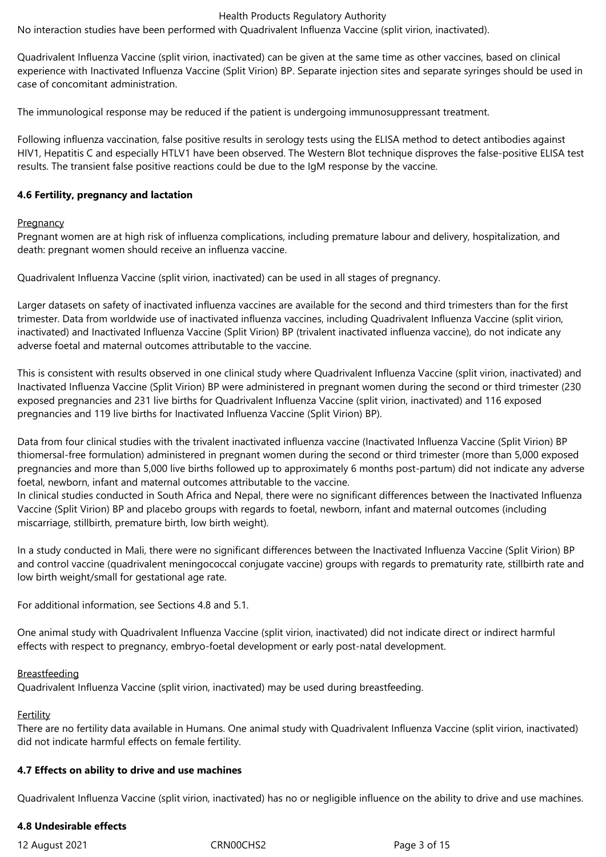No interaction studies have been performed with Quadrivalent Influenza Vaccine (split virion, inactivated).

Quadrivalent Influenza Vaccine (split virion, inactivated) can be given at the same time as other vaccines, based on clinical experience with Inactivated Influenza Vaccine (Split Virion) BP. Separate injection sites and separate syringes should be used in case of concomitant administration.

The immunological response may be reduced if the patient is undergoing immunosuppressant treatment.

Following influenza vaccination, false positive results in serology tests using the ELISA method to detect antibodies against HIV1, Hepatitis C and especially HTLV1 have been observed. The Western Blot technique disproves the false-positive ELISA test results. The transient false positive reactions could be due to the IgM response by the vaccine.

#### **4.6 Fertility, pregnancy and lactation**

#### **Pregnancy**

Pregnant women are at high risk of influenza complications, including premature labour and delivery, hospitalization, and death: pregnant women should receive an influenza vaccine.

Quadrivalent Influenza Vaccine (split virion, inactivated) can be used in all stages of pregnancy.

Larger datasets on safety of inactivated influenza vaccines are available for the second and third trimesters than for the first trimester. Data from worldwide use of inactivated influenza vaccines, including Quadrivalent Influenza Vaccine (split virion, inactivated) and Inactivated Influenza Vaccine (Split Virion) BP (trivalent inactivated influenza vaccine), do not indicate any adverse foetal and maternal outcomes attributable to the vaccine.

This is consistent with results observed in one clinical study where Quadrivalent Influenza Vaccine (split virion, inactivated) and Inactivated Influenza Vaccine (Split Virion) BP were administered in pregnant women during the second or third trimester (230 exposed pregnancies and 231 live births for Quadrivalent Influenza Vaccine (split virion, inactivated) and 116 exposed pregnancies and 119 live births for Inactivated Influenza Vaccine (Split Virion) BP).

Data from four clinical studies with the trivalent inactivated influenza vaccine (Inactivated Influenza Vaccine (Split Virion) BP thiomersal-free formulation) administered in pregnant women during the second or third trimester (more than 5,000 exposed pregnancies and more than 5,000 live births followed up to approximately 6 months post-partum) did not indicate any adverse foetal, newborn, infant and maternal outcomes attributable to the vaccine.

In clinical studies conducted in South Africa and Nepal, there were no significant differences between the Inactivated Influenza Vaccine (Split Virion) BP and placebo groups with regards to foetal, newborn, infant and maternal outcomes (including miscarriage, stillbirth, premature birth, low birth weight).

In a study conducted in Mali, there were no significant differences between the Inactivated Influenza Vaccine (Split Virion) BP and control vaccine (quadrivalent meningococcal conjugate vaccine) groups with regards to prematurity rate, stillbirth rate and low birth weight/small for gestational age rate.

For additional information, see Sections 4.8 and 5.1.

One animal study with Quadrivalent Influenza Vaccine (split virion, inactivated) did not indicate direct or indirect harmful effects with respect to pregnancy, embryo-foetal development or early post-natal development.

#### Breastfeeding

Quadrivalent Influenza Vaccine (split virion, inactivated) may be used during breastfeeding.

Fertility

There are no fertility data available in Humans. One animal study with Quadrivalent Influenza Vaccine (split virion, inactivated) did not indicate harmful effects on female fertility.

#### **4.7 Effects on ability to drive and use machines**

Quadrivalent Influenza Vaccine (split virion, inactivated) has no or negligible influence on the ability to drive and use machines.

#### **4.8 Undesirable effects**

12 August 2021 CRN00CHS2 Page 3 of 15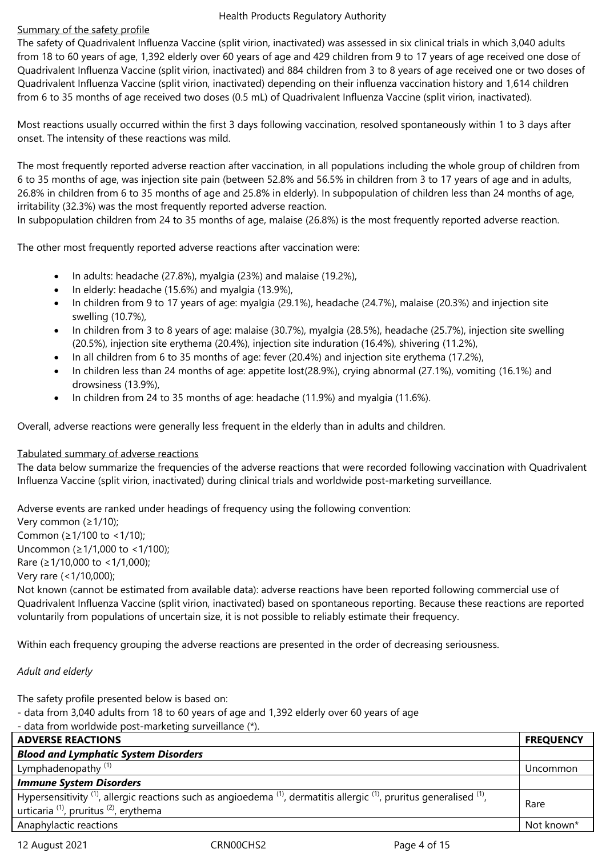#### Summary of the safety profile

The safety of Quadrivalent Influenza Vaccine (split virion, inactivated) was assessed in six clinical trials in which 3,040 adults from 18 to 60 years of age, 1,392 elderly over 60 years of age and 429 children from 9 to 17 years of age received one dose of Quadrivalent Influenza Vaccine (split virion, inactivated) and 884 children from 3 to 8 years of age received one or two doses of Quadrivalent Influenza Vaccine (split virion, inactivated) depending on their influenza vaccination history and 1,614 children from 6 to 35 months of age received two doses (0.5 mL) of Quadrivalent Influenza Vaccine (split virion, inactivated).

Most reactions usually occurred within the first 3 days following vaccination, resolved spontaneously within 1 to 3 days after onset. The intensity of these reactions was mild.

The most frequently reported adverse reaction after vaccination, in all populations including the whole group of children from 6 to 35 months of age, was injection site pain (between 52.8% and 56.5% in children from 3 to 17 years of age and in adults, 26.8% in children from 6 to 35 months of age and 25.8% in elderly). In subpopulation of children less than 24 months of age, irritability (32.3%) was the most frequently reported adverse reaction.

In subpopulation children from 24 to 35 months of age, malaise (26.8%) is the most frequently reported adverse reaction.

The other most frequently reported adverse reactions after vaccination were:

- $\bullet$  In adults: headache (27.8%), myalgia (23%) and malaise (19.2%),
- In elderly: headache (15.6%) and myalgia (13.9%),
- In children from 9 to 17 years of age: myalgia (29.1%), headache (24.7%), malaise (20.3%) and injection site swelling (10.7%),
- In children from 3 to 8 years of age: malaise (30.7%), myalgia (28.5%), headache (25.7%), injection site swelling (20.5%), injection site erythema (20.4%), injection site induration (16.4%), shivering (11.2%),
- In all children from 6 to 35 months of age: fever (20.4%) and injection site erythema (17.2%),
- In children less than 24 months of age: appetite lost(28.9%), crying abnormal (27.1%), vomiting (16.1%) and drowsiness (13.9%),
- In children from 24 to 35 months of age: headache (11.9%) and myalgia (11.6%).

Overall, adverse reactions were generally less frequent in the elderly than in adults and children.

#### Tabulated summary of adverse reactions

The data below summarize the frequencies of the adverse reactions that were recorded following vaccination with Quadrivalent Influenza Vaccine (split virion, inactivated) during clinical trials and worldwide post-marketing surveillance.

Adverse events are ranked under headings of frequency using the following convention:

Very common (≥1/10); Common (≥1/100 to <1/10); Uncommon (≥1/1,000 to <1/100); Rare (≥1/10,000 to <1/1,000); Very rare (<1/10,000); Not known (cannot be estimated from available data): adverse reactions have been reported following commercial use of Quadrivalent Influenza Vaccine (split virion, inactivated) based on spontaneous reporting. Because these reactions are reported voluntarily from populations of uncertain size, it is not possible to reliably estimate their frequency.

Within each frequency grouping the adverse reactions are presented in the order of decreasing seriousness.

# *Adult and elderly*

The safety profile presented below is based on:

- data from 3,040 adults from 18 to 60 years of age and 1,392 elderly over 60 years of age

<sup>-</sup> data from worldwide post-marketing surveillance (\*).

| <b>ADVERSE REACTIONS</b>                                                                                                                                                                                     | <b>FREQUENCY</b> |
|--------------------------------------------------------------------------------------------------------------------------------------------------------------------------------------------------------------|------------------|
| <b>Blood and Lymphatic System Disorders</b>                                                                                                                                                                  |                  |
| Lymphadenopathy <sup>(1)</sup>                                                                                                                                                                               | Uncommon         |
| <b>Immune System Disorders</b>                                                                                                                                                                               |                  |
| Hypersensitivity $^{(1)}$ , allergic reactions such as angioedema $^{(1)}$ , dermatitis allergic $^{(1)}$ , pruritus generalised $^{(1)}$ ,<br>urticaria <sup>(1)</sup> , pruritus <sup>(2)</sup> , erythema | Rare             |
| Anaphylactic reactions                                                                                                                                                                                       | Not known*       |

12 August 2021 CRN00CHS2 Page 4 of 15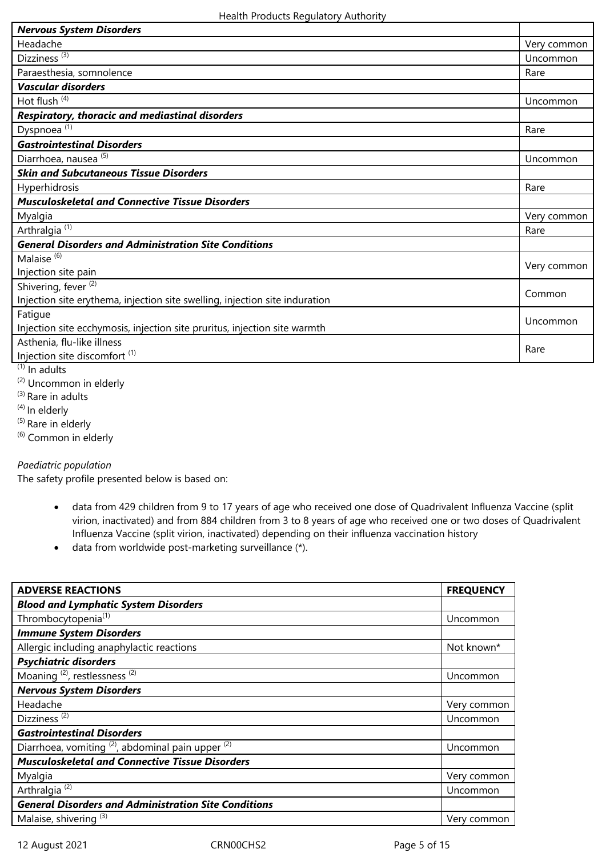| Very common |
|-------------|
| Uncommon    |
| Rare        |
|             |
| Uncommon    |
|             |
| Rare        |
|             |
| Uncommon    |
|             |
| Rare        |
|             |
| Very common |
| Rare        |
|             |
| Very common |
|             |
| Common      |
|             |
| Uncommon    |
|             |
| Rare        |
|             |
|             |

 $(1)$  In adults

(2) Uncommon in elderly

(3) Rare in adults

(4) In elderly

 $(5)$  Rare in elderly

 $(6)$  Common in elderly

# *Paediatric population*

The safety profile presented below is based on:

- data from 429 children from 9 to 17 years of age who received one dose of Quadrivalent Influenza Vaccine (split virion, inactivated) and from 884 children from 3 to 8 years of age who received one or two doses of Quadrivalent Influenza Vaccine (split virion, inactivated) depending on their influenza vaccination history
- data from worldwide post-marketing surveillance (\*).

| <b>ADVERSE REACTIONS</b>                                     | <b>FREQUENCY</b> |
|--------------------------------------------------------------|------------------|
| <b>Blood and Lymphatic System Disorders</b>                  |                  |
| Thrombocytopenia <sup>(1)</sup>                              | Uncommon         |
| <b>Immune System Disorders</b>                               |                  |
| Allergic including anaphylactic reactions                    | Not known*       |
| <b>Psychiatric disorders</b>                                 |                  |
| Moaning <sup>(2)</sup> , restlessness <sup>(2)</sup>         | Uncommon         |
| <b>Nervous System Disorders</b>                              |                  |
| Headache                                                     | Very common      |
| Dizziness <sup>(2)</sup>                                     | Uncommon         |
| <b>Gastrointestinal Disorders</b>                            |                  |
| Diarrhoea, vomiting $^{(2)}$ , abdominal pain upper $^{(2)}$ | Uncommon         |
| <b>Musculoskeletal and Connective Tissue Disorders</b>       |                  |
| Myalgia                                                      | Very common      |
| Arthralgia <sup>(2)</sup>                                    | Uncommon         |
| <b>General Disorders and Administration Site Conditions</b>  |                  |
| Malaise, shivering <sup>(3)</sup>                            | Very common      |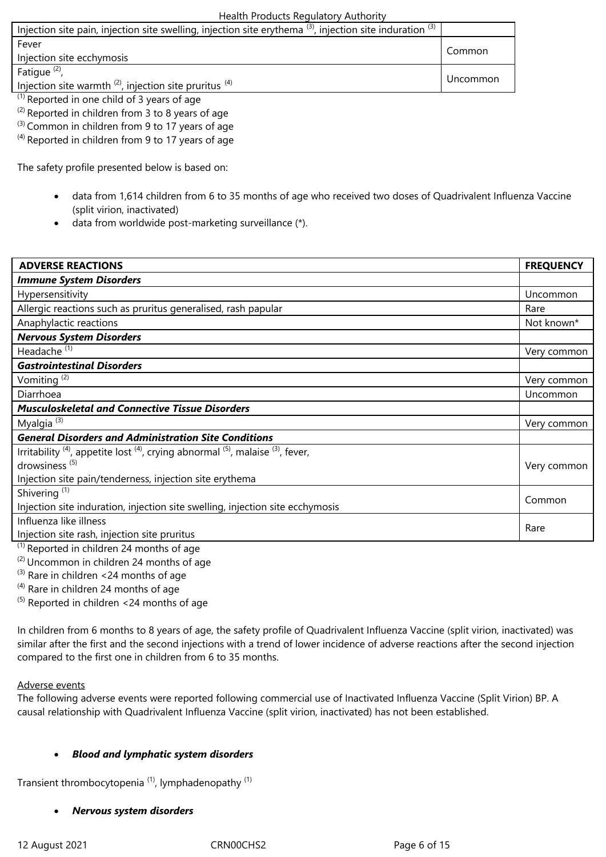| Injection site pain, injection site swelling, injection site erythema $(3)$ , injection site induration $(3)$ |          |
|---------------------------------------------------------------------------------------------------------------|----------|
| Fever                                                                                                         | Common   |
| Injection site ecchymosis                                                                                     |          |
| Fatique <sup>(2)</sup> ,                                                                                      | Uncommon |
| Injection site warmth $^{(2)}$ , injection site pruritus $^{(4)}$                                             |          |
| $\frac{1}{2}$ Departed in ang shild of 2 years of ago                                                         |          |

- Reported in one child of 3 years of age
- $(2)$  Reported in children from 3 to 8 years of age
- <sup>(3)</sup> Common in children from 9 to 17 years of age
- $^{(4)}$  Reported in children from 9 to 17 years of age

The safety profile presented below is based on:

- data from 1,614 children from 6 to 35 months of age who received two doses of Quadrivalent Influenza Vaccine (split virion, inactivated)
- data from worldwide post-marketing surveillance (\*).

| <b>ADVERSE REACTIONS</b>                                                                                                      | <b>FREQUENCY</b> |
|-------------------------------------------------------------------------------------------------------------------------------|------------------|
| <b>Immune System Disorders</b>                                                                                                |                  |
| Hypersensitivity                                                                                                              | Uncommon         |
| Allergic reactions such as pruritus generalised, rash papular                                                                 | Rare             |
| Anaphylactic reactions                                                                                                        | Not known*       |
| <b>Nervous System Disorders</b>                                                                                               |                  |
| Headache <sup>(1)</sup>                                                                                                       | Very common      |
| <b>Gastrointestinal Disorders</b>                                                                                             |                  |
| Vomiting <sup>(2)</sup>                                                                                                       | Very common      |
| Diarrhoea                                                                                                                     | Uncommon         |
| <b>Musculoskeletal and Connective Tissue Disorders</b>                                                                        |                  |
| Myalgia <sup>(3)</sup>                                                                                                        | Very common      |
| <b>General Disorders and Administration Site Conditions</b>                                                                   |                  |
| Irritability <sup>(4)</sup> , appetite lost <sup>(4)</sup> , crying abnormal <sup>(5)</sup> , malaise <sup>(3)</sup> , fever, |                  |
| drowsiness <sup>(5)</sup>                                                                                                     | Very common      |
| Injection site pain/tenderness, injection site erythema                                                                       |                  |
| Shivering <sup>(1)</sup>                                                                                                      | Common           |
| Injection site induration, injection site swelling, injection site ecchymosis                                                 |                  |
| Influenza like illness                                                                                                        | Rare             |
| Injection site rash, injection site pruritus                                                                                  |                  |
| $(1)$ Reported in children 24 months of age                                                                                   |                  |

(2) Uncommon in children 24 months of age

 $^{(3)}$  Rare in children <24 months of age

 $^{(4)}$  Rare in children 24 months of age

 $(5)$  Reported in children <24 months of age

In children from 6 months to 8 years of age, the safety profile of Quadrivalent Influenza Vaccine (split virion, inactivated) was similar after the first and the second injections with a trend of lower incidence of adverse reactions after the second injection compared to the first one in children from 6 to 35 months.

#### Adverse events

The following adverse events were reported following commercial use of Inactivated Influenza Vaccine (Split Virion) BP. A causal relationship with Quadrivalent Influenza Vaccine (split virion, inactivated) has not been established.

#### *Blood and lymphatic system disorders*

Transient thrombocytopenia<sup>(1)</sup>, lymphadenopathy<sup>(1)</sup>

#### *Nervous system disorders*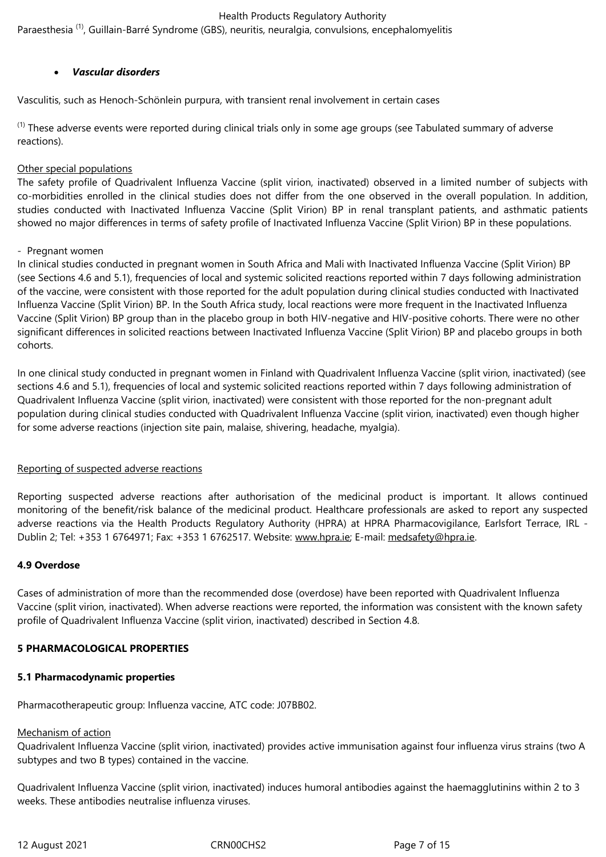Paraesthesia<sup>(1)</sup>, Guillain-Barré Syndrome (GBS), neuritis, neuralgia, convulsions, encephalomyelitis

# *Vascular disorders*

Vasculitis, such as Henoch-Schönlein purpura*,* with transient renal involvement in certain cases

 $<sup>(1)</sup>$  These adverse events were reported during clinical trials only in some age groups (see Tabulated summary of adverse</sup> reactions).

#### Other special populations

The safety profile of Quadrivalent Influenza Vaccine (split virion, inactivated) observed in a limited number of subjects with co-morbidities enrolled in the clinical studies does not differ from the one observed in the overall population. In addition, studies conducted with Inactivated Influenza Vaccine (Split Virion) BP in renal transplant patients, and asthmatic patients showed no major differences in terms of safety profile of Inactivated Influenza Vaccine (Split Virion) BP in these populations.

#### - Pregnant women

In clinical studies conducted in pregnant women in South Africa and Mali with Inactivated Influenza Vaccine (Split Virion) BP (see Sections 4.6 and 5.1), frequencies of local and systemic solicited reactions reported within 7 days following administration of the vaccine, were consistent with those reported for the adult population during clinical studies conducted with Inactivated Influenza Vaccine (Split Virion) BP. In the South Africa study, local reactions were more frequent in the Inactivated Influenza Vaccine (Split Virion) BP group than in the placebo group in both HIV-negative and HIV-positive cohorts. There were no other significant differences in solicited reactions between Inactivated Influenza Vaccine (Split Virion) BP and placebo groups in both cohorts.

In one clinical study conducted in pregnant women in Finland with Quadrivalent Influenza Vaccine (split virion, inactivated) (see sections 4.6 and 5.1), frequencies of local and systemic solicited reactions reported within 7 days following administration of Quadrivalent Influenza Vaccine (split virion, inactivated) were consistent with those reported for the non-pregnant adult population during clinical studies conducted with Quadrivalent Influenza Vaccine (split virion, inactivated) even though higher for some adverse reactions (injection site pain, malaise, shivering, headache, myalgia).

#### Reporting of suspected adverse reactions

Reporting suspected adverse reactions after authorisation of the medicinal product is important. It allows continued monitoring of the benefit/risk balance of the medicinal product. Healthcare professionals are asked to report any suspected adverse reactions via the Health Products Regulatory Authority (HPRA) at HPRA Pharmacovigilance, Earlsfort Terrace, IRL - Dublin 2; Tel: +353 1 6764971; Fax: +353 1 6762517. Website: www.hpra.ie; E-mail: medsafety@hpra.ie.

#### **4.9 Overdose**

Cases of administration of more than the recommended dose (overdose) have been reported with Quadrivalent Influenza Vaccine (split virion, inactivated). When adverse reactions were reported, the information was consistent with the known safety profile of Quadrivalent Influenza Vaccine (split virion, inactivated) described in Section 4.8.

#### **5 PHARMACOLOGICAL PROPERTIES**

#### **5.1 Pharmacodynamic properties**

Pharmacotherapeutic group: Influenza vaccine, ATC code: J07BB02.

#### Mechanism of action

Quadrivalent Influenza Vaccine (split virion, inactivated) provides active immunisation against four influenza virus strains (two A subtypes and two B types) contained in the vaccine.

Quadrivalent Influenza Vaccine (split virion, inactivated) induces humoral antibodies against the haemagglutinins within 2 to 3 weeks. These antibodies neutralise influenza viruses.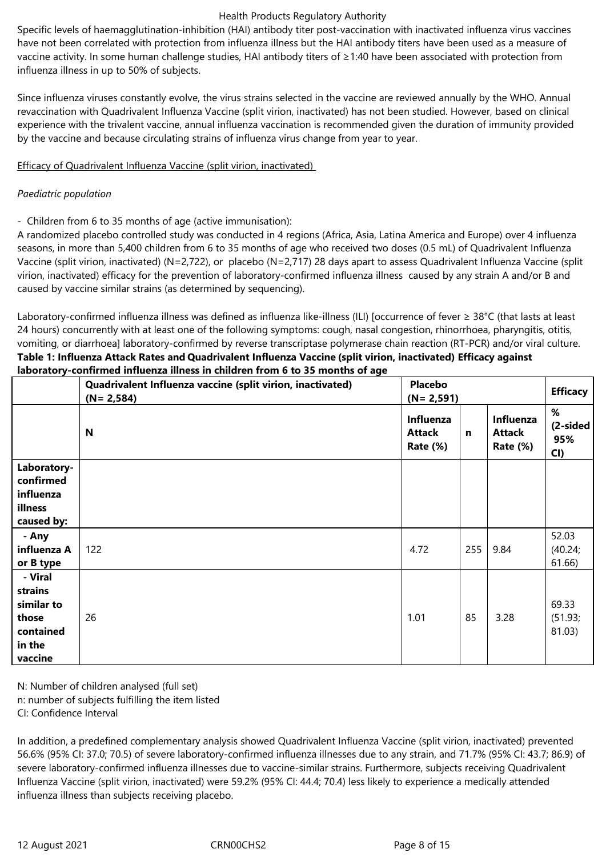Specific levels of haemagglutination-inhibition (HAI) antibody titer post-vaccination with inactivated influenza virus vaccines have not been correlated with protection from influenza illness but the HAI antibody titers have been used as a measure of vaccine activity. In some human challenge studies, HAI antibody titers of ≥1:40 have been associated with protection from influenza illness in up to 50% of subjects.

Since influenza viruses constantly evolve, the virus strains selected in the vaccine are reviewed annually by the WHO. Annual revaccination with Quadrivalent Influenza Vaccine (split virion, inactivated) has not been studied. However, based on clinical experience with the trivalent vaccine, annual influenza vaccination is recommended given the duration of immunity provided by the vaccine and because circulating strains of influenza virus change from year to year.

# Efficacy of Quadrivalent Influenza Vaccine (split virion, inactivated)

# *Paediatric population*

- Children from 6 to 35 months of age (active immunisation):

A randomized placebo controlled study was conducted in 4 regions (Africa, Asia, Latina America and Europe) over 4 influenza seasons, in more than 5,400 children from 6 to 35 months of age who received two doses (0.5 mL) of Quadrivalent Influenza Vaccine (split virion, inactivated) (N=2,722), or placebo (N=2,717) 28 days apart to assess Quadrivalent Influenza Vaccine (split virion, inactivated) efficacy for the prevention of laboratory-confirmed influenza illness caused by any strain A and/or B and caused by vaccine similar strains (as determined by sequencing).

Laboratory-confirmed influenza illness was defined as influenza like-illness (ILI) [occurrence of fever ≥ 38°C (that lasts at least 24 hours) concurrently with at least one of the following symptoms: cough, nasal congestion, rhinorrhoea, pharyngitis, otitis, vomiting, or diarrhoea] laboratory-confirmed by reverse transcriptase polymerase chain reaction (RT-PCR) and/or viral culture. **Table 1: Influenza Attack Rates and Quadrivalent Influenza Vaccine (split virion, inactivated) Efficacy against laboratory-confirmed influenza illness in children from 6 to 35 months of age** 

|                                                                             | Quadrivalent Influenza vaccine (split virion, inactivated)<br>$(N = 2, 584)$ | <b>Placebo</b><br>$(N = 2, 591)$              |              |                                               | <b>Efficacy</b>                |
|-----------------------------------------------------------------------------|------------------------------------------------------------------------------|-----------------------------------------------|--------------|-----------------------------------------------|--------------------------------|
|                                                                             | N                                                                            | Influenza<br><b>Attack</b><br><b>Rate (%)</b> | $\mathsf{n}$ | Influenza<br><b>Attack</b><br><b>Rate (%)</b> | %<br>$(2-sided)$<br>95%<br>CI) |
| Laboratory-<br>confirmed<br>influenza<br>illness<br>caused by:              |                                                                              |                                               |              |                                               |                                |
| - Any<br>influenza A<br>or B type                                           | 122                                                                          | 4.72                                          | 255          | 9.84                                          | 52.03<br>(40.24;<br>61.66)     |
| - Viral<br>strains<br>similar to<br>those<br>contained<br>in the<br>vaccine | 26                                                                           | 1.01                                          | 85           | 3.28                                          | 69.33<br>(51.93;<br>81.03)     |

N: Number of children analysed (full set) n: number of subjects fulfilling the item listed CI: Confidence Interval

In addition, a predefined complementary analysis showed Quadrivalent Influenza Vaccine (split virion, inactivated) prevented 56.6% (95% CI: 37.0; 70.5) of severe laboratory-confirmed influenza illnesses due to any strain, and 71.7% (95% CI: 43.7; 86.9) of severe laboratory-confirmed influenza illnesses due to vaccine-similar strains. Furthermore, subjects receiving Quadrivalent Influenza Vaccine (split virion, inactivated) were 59.2% (95% CI: 44.4; 70.4) less likely to experience a medically attended influenza illness than subjects receiving placebo.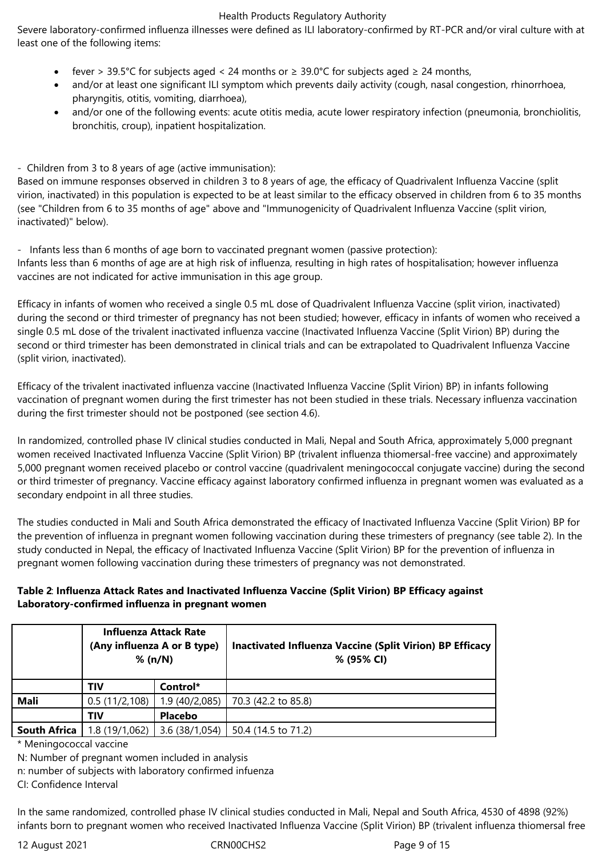Severe laboratory-confirmed influenza illnesses were defined as ILI laboratory-confirmed by RT-PCR and/or viral culture with at least one of the following items:

- fever > 39.5°C for subjects aged < 24 months or  $\geq 39.0$ °C for subjects aged  $\geq 24$  months,
- and/or at least one significant ILI symptom which prevents daily activity (cough, nasal congestion, rhinorrhoea, pharyngitis, otitis, vomiting, diarrhoea),
- and/or one of the following events: acute otitis media, acute lower respiratory infection (pneumonia, bronchiolitis, bronchitis, croup), inpatient hospitalization.

- Children from 3 to 8 years of age (active immunisation):

Based on immune responses observed in children 3 to 8 years of age, the efficacy of Quadrivalent Influenza Vaccine (split virion, inactivated) in this population is expected to be at least similar to the efficacy observed in children from 6 to 35 months (see "Children from 6 to 35 months of age" above and "Immunogenicity of Quadrivalent Influenza Vaccine (split virion, inactivated)" below).

- Infants less than 6 months of age born to vaccinated pregnant women (passive protection): Infants less than 6 months of age are at high risk of influenza, resulting in high rates of hospitalisation; however influenza vaccines are not indicated for active immunisation in this age group.

Efficacy in infants of women who received a single 0.5 mL dose of Quadrivalent Influenza Vaccine (split virion, inactivated) during the second or third trimester of pregnancy has not been studied; however, efficacy in infants of women who received a single 0.5 mL dose of the trivalent inactivated influenza vaccine (Inactivated Influenza Vaccine (Split Virion) BP) during the second or third trimester has been demonstrated in clinical trials and can be extrapolated to Quadrivalent Influenza Vaccine (split virion, inactivated).

Efficacy of the trivalent inactivated influenza vaccine (Inactivated Influenza Vaccine (Split Virion) BP) in infants following vaccination of pregnant women during the first trimester has not been studied in these trials. Necessary influenza vaccination during the first trimester should not be postponed (see section 4.6).

In randomized, controlled phase IV clinical studies conducted in Mali, Nepal and South Africa, approximately 5,000 pregnant women received Inactivated Influenza Vaccine (Split Virion) BP (trivalent influenza thiomersal-free vaccine) and approximately 5,000 pregnant women received placebo or control vaccine (quadrivalent meningococcal conjugate vaccine) during the second or third trimester of pregnancy. Vaccine efficacy against laboratory confirmed influenza in pregnant women was evaluated as a secondary endpoint in all three studies.

The studies conducted in Mali and South Africa demonstrated the efficacy of Inactivated Influenza Vaccine (Split Virion) BP for the prevention of influenza in pregnant women following vaccination during these trimesters of pregnancy (see table 2). In the study conducted in Nepal, the efficacy of Inactivated Influenza Vaccine (Split Virion) BP for the prevention of influenza in pregnant women following vaccination during these trimesters of pregnancy was not demonstrated.

# **Table 2**: **Influenza Attack Rates and Inactivated Influenza Vaccine (Split Virion) BP Efficacy against Laboratory-confirmed influenza in pregnant women**

| <b>Influenza Attack Rate</b><br>(Any influenza A or B type)<br>% (n/N) |               |                | Inactivated Influenza Vaccine (Split Virion) BP Efficacy<br>% (95% CI) |
|------------------------------------------------------------------------|---------------|----------------|------------------------------------------------------------------------|
|                                                                        | TIV           | Control*       |                                                                        |
| Mali                                                                   | 0.5(11/2,108) | 1.9(40/2,085)  | 70.3 (42.2 to 85.8)                                                    |
|                                                                        | TIV           | <b>Placebo</b> |                                                                        |
| <b>South Africa</b>                                                    | 1.8(19/1,062) | 3.6(38/1,054)  | 50.4 (14.5 to 71.2)                                                    |

\* Meningococcal vaccine

N: Number of pregnant women included in analysis

n: number of subjects with laboratory confirmed infuenza

CI: Confidence Interval

In the same randomized, controlled phase IV clinical studies conducted in Mali, Nepal and South Africa, 4530 of 4898 (92%) infants born to pregnant women who received Inactivated Influenza Vaccine (Split Virion) BP (trivalent influenza thiomersal free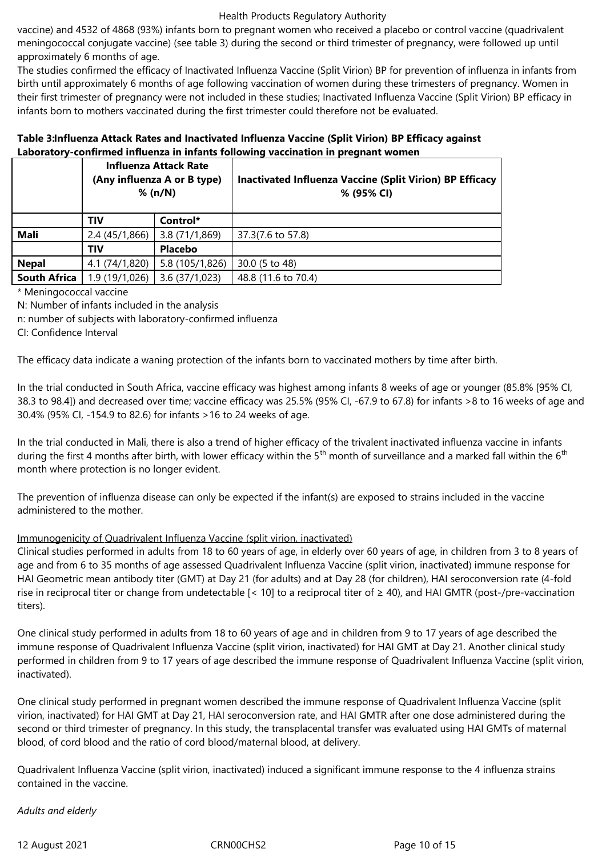vaccine) and 4532 of 4868 (93%) infants born to pregnant women who received a placebo or control vaccine (quadrivalent meningococcal conjugate vaccine) (see table 3) during the second or third trimester of pregnancy, were followed up until approximately 6 months of age.

The studies confirmed the efficacy of Inactivated Influenza Vaccine (Split Virion) BP for prevention of influenza in infants from birth until approximately 6 months of age following vaccination of women during these trimesters of pregnancy. Women in their first trimester of pregnancy were not included in these studies; Inactivated Influenza Vaccine (Split Virion) BP efficacy in infants born to mothers vaccinated during the first trimester could therefore not be evaluated.

# **Table 3:Influenza Attack Rates and Inactivated Influenza Vaccine (Split Virion) BP Efficacy against Laboratory-confirmed influenza in infants following vaccination in pregnant women**

| <b>Influenza Attack Rate</b><br>(Any influenza A or B type)<br>% (n/N) |                |                 | <b>Inactivated Influenza Vaccine (Split Virion) BP Efficacy</b><br>% (95% CI) |
|------------------------------------------------------------------------|----------------|-----------------|-------------------------------------------------------------------------------|
|                                                                        | TIV            | Control*        |                                                                               |
| Mali                                                                   | 2.4(45/1,866)  | 3.8(71/1,869)   | 37.3(7.6 to 57.8)                                                             |
|                                                                        | TIV            | <b>Placebo</b>  |                                                                               |
| <b>Nepal</b>                                                           | 4.1 (74/1,820) | 5.8 (105/1,826) | 30.0 (5 to 48)                                                                |
| <b>South Africa</b>                                                    | 1.9 (19/1,026) | 3.6(37/1,023)   | 48.8 (11.6 to 70.4)                                                           |
|                                                                        |                |                 |                                                                               |

\* Meningococcal vaccine

N: Number of infants included in the analysis

n: number of subjects with laboratory-confirmed influenza

CI: Confidence Interval

The efficacy data indicate a waning protection of the infants born to vaccinated mothers by time after birth.

In the trial conducted in South Africa, vaccine efficacy was highest among infants 8 weeks of age or younger (85.8% [95% CI, 38.3 to 98.4]) and decreased over time; vaccine efficacy was 25.5% (95% CI, -67.9 to 67.8) for infants >8 to 16 weeks of age and 30.4% (95% CI, -154.9 to 82.6) for infants >16 to 24 weeks of age.

In the trial conducted in Mali, there is also a trend of higher efficacy of the trivalent inactivated influenza vaccine in infants during the first 4 months after birth, with lower efficacy within the  $5<sup>th</sup>$  month of surveillance and a marked fall within the  $6<sup>th</sup>$ month where protection is no longer evident.

The prevention of influenza disease can only be expected if the infant(s) are exposed to strains included in the vaccine administered to the mother.

# Immunogenicity of Quadrivalent Influenza Vaccine (split virion, inactivated)

Clinical studies performed in adults from 18 to 60 years of age, in elderly over 60 years of age, in children from 3 to 8 years of age and from 6 to 35 months of age assessed Quadrivalent Influenza Vaccine (split virion, inactivated) immune response for HAI Geometric mean antibody titer (GMT) at Day 21 (for adults) and at Day 28 (for children), HAI seroconversion rate (4-fold rise in reciprocal titer or change from undetectable  $[< 10]$  to a reciprocal titer of  $\geq 40$ ), and HAI GMTR (post-/pre-vaccination titers).

One clinical study performed in adults from 18 to 60 years of age and in children from 9 to 17 years of age described the immune response of Quadrivalent Influenza Vaccine (split virion, inactivated) for HAI GMT at Day 21. Another clinical study performed in children from 9 to 17 years of age described the immune response of Quadrivalent Influenza Vaccine (split virion, inactivated).

One clinical study performed in pregnant women described the immune response of Quadrivalent Influenza Vaccine (split virion, inactivated) for HAI GMT at Day 21, HAI seroconversion rate, and HAI GMTR after one dose administered during the second or third trimester of pregnancy. In this study, the transplacental transfer was evaluated using HAI GMTs of maternal blood, of cord blood and the ratio of cord blood/maternal blood, at delivery.

Quadrivalent Influenza Vaccine (split virion, inactivated) induced a significant immune response to the 4 influenza strains contained in the vaccine.

*Adults and elderly*

12 August 2021 CRN00CHS2 Page 10 of 15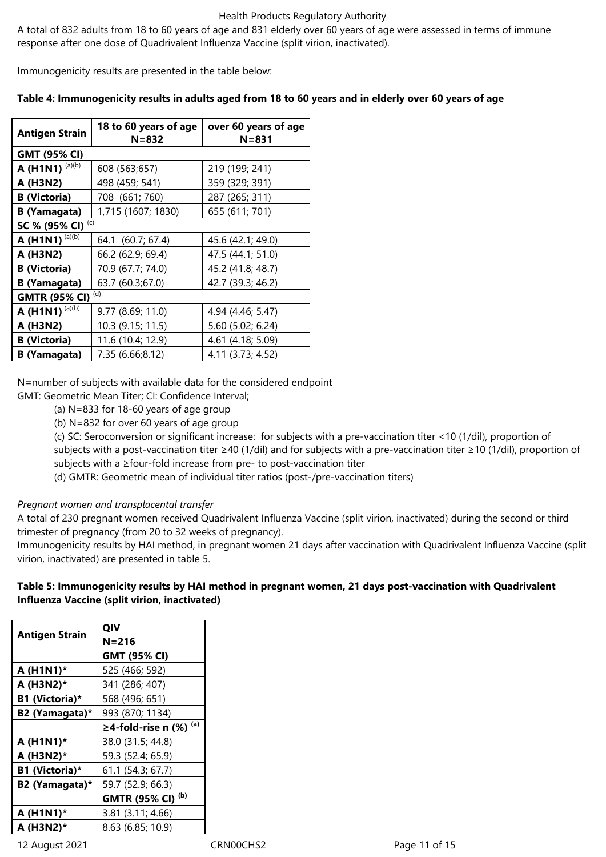A total of 832 adults from 18 to 60 years of age and 831 elderly over 60 years of age were assessed in terms of immune response after one dose of Quadrivalent Influenza Vaccine (split virion, inactivated).

Immunogenicity results are presented in the table below:

# **Table 4: Immunogenicity results in adults aged from 18 to 60 years and in elderly over 60 years of age**

| <b>Antigen Strain</b>                                         | 18 to 60 years of age<br>$N = 832$     | over 60 years of age<br>$N = 831$ |  |
|---------------------------------------------------------------|----------------------------------------|-----------------------------------|--|
| <b>GMT (95% CI)</b>                                           |                                        |                                   |  |
| A (H1N1) $(a)(b)$                                             | 608 (563;657)                          | 219 (199; 241)                    |  |
| A (H3N2)                                                      | 498 (459; 541)                         | 359 (329; 391)                    |  |
| <b>B</b> (Victoria)                                           | 708 (661; 760)                         | 287 (265; 311)                    |  |
| <b>B</b> (Yamagata)                                           | 1,715 (1607; 1830)                     | 655 (611; 701)                    |  |
| (c)<br>SC % (95% CI)                                          |                                        |                                   |  |
| A (H1N1) $(a)(b)$                                             | 64.1 (60.7; 67.4)                      | 45.6 (42.1; 49.0)                 |  |
| A (H3N2)                                                      | 66.2 (62.9; 69.4)<br>47.5 (44.1; 51.0) |                                   |  |
| <b>B</b> (Victoria)<br>70.9 (67.7; 74.0)<br>45.2 (41.8; 48.7) |                                        |                                   |  |
| 63.7 (60.3;67.0)<br><b>B</b> (Yamagata)                       |                                        | 42.7 (39.3; 46.2)                 |  |
| <b>GMTR (95% CI)</b>                                          | (d)                                    |                                   |  |
| A (H1N1) $(a)(b)$                                             | 9.77 (8.69; 11.0)                      | 4.94 (4.46; 5.47)                 |  |
| A (H3N2)                                                      | 10.3 (9.15; 11.5)                      | 5.60 (5.02; 6.24)                 |  |
| <b>B</b> (Victoria)                                           | 11.6 (10.4; 12.9)                      | 4.61 (4.18; 5.09)                 |  |
| <b>B</b> (Yamagata)                                           | 7.35 (6.66;8.12)<br>4.11 (3.73; 4.52)  |                                   |  |

N=number of subjects with available data for the considered endpoint

GMT: Geometric Mean Titer; CI: Confidence Interval;

(a) N=833 for 18-60 years of age group

(b) N=832 for over 60 years of age group

(c) SC: Seroconversion or significant increase: for subjects with a pre-vaccination titer <10 (1/dil), proportion of subjects with a post-vaccination titer ≥40 (1/dil) and for subjects with a pre-vaccination titer ≥10 (1/dil), proportion of subjects with a ≥four-fold increase from pre- to post-vaccination titer

(d) GMTR: Geometric mean of individual titer ratios (post-/pre-vaccination titers)

#### *Pregnant women and transplacental transfer*

A total of 230 pregnant women received Quadrivalent Influenza Vaccine (split virion, inactivated) during the second or third trimester of pregnancy (from 20 to 32 weeks of pregnancy).

Immunogenicity results by HAI method, in pregnant women 21 days after vaccination with Quadrivalent Influenza Vaccine (split virion, inactivated) are presented in table 5.

# **Table 5: Immunogenicity results by HAI method in pregnant women, 21 days post-vaccination with Quadrivalent Influenza Vaccine (split virion, inactivated)**

| <b>Antigen Strain</b> | QIV                             |
|-----------------------|---------------------------------|
|                       | N=216                           |
|                       | <b>GMT (95% CI)</b>             |
| A (H1N1)*             | 525 (466; 592)                  |
| A (H3N2)*             | 341 (286; 407)                  |
| B1 (Victoria)*        | 568 (496; 651)                  |
| B2 (Yamagata)*        | 993 (870; 1134)                 |
|                       | (a)<br>$\geq$ 4-fold-rise n (%) |
| A (H1N1)*             | 38.0 (31.5; 44.8)               |
| A (H3N2)*             | 59.3 (52.4; 65.9)               |
| B1 (Victoria)*        | 61.1 (54.3; 67.7)               |
| B2 (Yamagata)*        | 59.7 (52.9; 66.3)               |
|                       | (b)<br><b>GMTR (95% CI)</b>     |
| A (H1N1)*             | 3.81 (3.11; 4.66)               |
| A (H3N2)*             | 8.63 (6.85; 10.9)               |

12 August 2021 CRN00CHS2 Page 11 of 15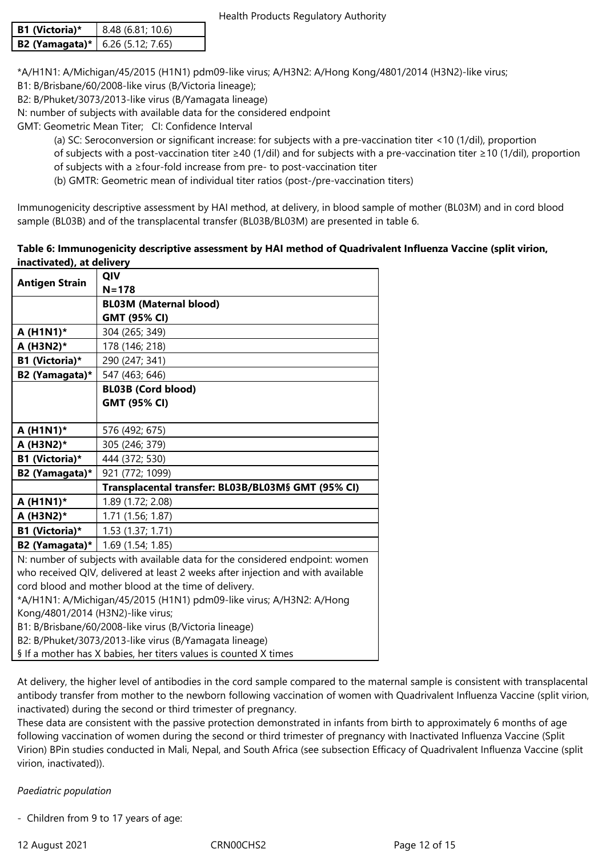| B1 (Victoria)*                          | 8.48(6.81; 10.6) |  |
|-----------------------------------------|------------------|--|
| <b>B2 (Yamagata)*</b> 6.26 (5.12; 7.65) |                  |  |

\*A/H1N1: A/Michigan/45/2015 (H1N1) pdm09-like virus; A/H3N2: A/Hong Kong/4801/2014 (H3N2)-like virus;

B1: B/Brisbane/60/2008-like virus (B/Victoria lineage);

B2: B/Phuket/3073/2013-like virus (B/Yamagata lineage)

N: number of subjects with available data for the considered endpoint

GMT: Geometric Mean Titer; CI: Confidence Interval

(a) SC: Seroconversion or significant increase: for subjects with a pre-vaccination titer <10 (1/dil), proportion

of subjects with a post-vaccination titer ≥40 (1/dil) and for subjects with a pre-vaccination titer ≥10 (1/dil), proportion of subjects with a ≥four-fold increase from pre- to post-vaccination titer

(b) GMTR: Geometric mean of individual titer ratios (post-/pre-vaccination titers)

Immunogenicity descriptive assessment by HAI method, at delivery, in blood sample of mother (BL03M) and in cord blood sample (BL03B) and of the transplacental transfer (BL03B/BL03M) are presented in table 6.

#### **Table 6: Immunogenicity descriptive assessment by HAI method of Quadrivalent Influenza Vaccine (split virion, inactivated), at delivery**

|                                                                                 | QIV                                                |  |
|---------------------------------------------------------------------------------|----------------------------------------------------|--|
| <b>Antigen Strain</b>                                                           | $N = 178$                                          |  |
|                                                                                 | <b>BL03M (Maternal blood)</b>                      |  |
|                                                                                 | <b>GMT (95% CI)</b>                                |  |
| A (H1N1)*                                                                       | 304 (265; 349)                                     |  |
| A (H3N2)*                                                                       | 178 (146; 218)                                     |  |
| B1 (Victoria)*                                                                  | 290 (247; 341)                                     |  |
| B2 (Yamagata)*                                                                  | 547 (463; 646)                                     |  |
|                                                                                 | <b>BL03B (Cord blood)</b>                          |  |
|                                                                                 | <b>GMT (95% CI)</b>                                |  |
|                                                                                 |                                                    |  |
| A (H1N1)*                                                                       | 576 (492; 675)                                     |  |
| A (H3N2)*                                                                       | 305 (246; 379)                                     |  |
| B1 (Victoria)*                                                                  | 444 (372; 530)                                     |  |
| B2 (Yamagata)*                                                                  | 921 (772; 1099)                                    |  |
|                                                                                 | Transplacental transfer: BL03B/BL03M§ GMT (95% CI) |  |
| A (H1N1)*                                                                       | 1.89 (1.72; 2.08)                                  |  |
| A (H3N2)*                                                                       | 1.71 (1.56; 1.87)                                  |  |
| B1 (Victoria)*                                                                  | 1.53(1.37; 1.71)                                   |  |
| B2 (Yamagata)*                                                                  | 1.69 (1.54; 1.85)                                  |  |
| N: number of subjects with available data for the considered endpoint: women    |                                                    |  |
| who received QIV, delivered at least 2 weeks after injection and with available |                                                    |  |
| cord blood and mother blood at the time of delivery.                            |                                                    |  |
| *A/H1N1: A/Michigan/45/2015 (H1N1) pdm09-like virus; A/H3N2: A/Hong             |                                                    |  |
| Kong/4801/2014 (H3N2)-like virus;                                               |                                                    |  |
| B1: B/Brisbane/60/2008-like virus (B/Victoria lineage)                          |                                                    |  |
| B2: B/Phuket/3073/2013-like virus (B/Yamagata lineage)                          |                                                    |  |

§ If a mother has X babies, her titers values is counted X times

At delivery, the higher level of antibodies in the cord sample compared to the maternal sample is consistent with transplacental antibody transfer from mother to the newborn following vaccination of women with Quadrivalent Influenza Vaccine (split virion, inactivated) during the second or third trimester of pregnancy.

These data are consistent with the passive protection demonstrated in infants from birth to approximately 6 months of age following vaccination of women during the second or third trimester of pregnancy with Inactivated Influenza Vaccine (Split Virion) BPin studies conducted in Mali, Nepal, and South Africa (see subsection Efficacy of Quadrivalent Influenza Vaccine (split virion, inactivated)).

# *Paediatric population*

- Children from 9 to 17 years of age: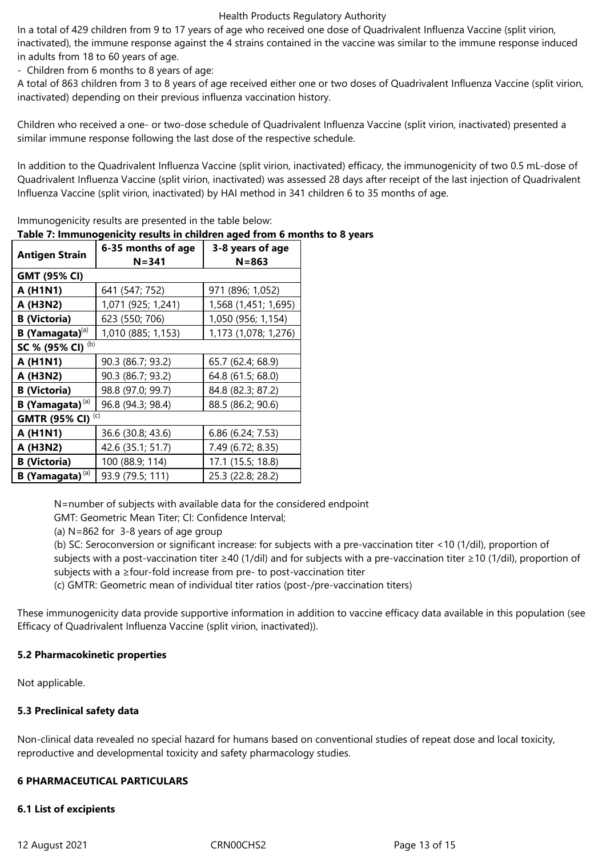In a total of 429 children from 9 to 17 years of age who received one dose of Quadrivalent Influenza Vaccine (split virion, inactivated), the immune response against the 4 strains contained in the vaccine was similar to the immune response induced in adults from 18 to 60 years of age.

- Children from 6 months to 8 years of age:

A total of 863 children from 3 to 8 years of age received either one or two doses of Quadrivalent Influenza Vaccine (split virion, inactivated) depending on their previous influenza vaccination history.

Children who received a one- or two-dose schedule of Quadrivalent Influenza Vaccine (split virion, inactivated) presented a similar immune response following the last dose of the respective schedule.

In addition to the Quadrivalent Influenza Vaccine (split virion, inactivated) efficacy, the immunogenicity of two 0.5 mL-dose of Quadrivalent Influenza Vaccine (split virion, inactivated) was assessed 28 days after receipt of the last injection of Quadrivalent Influenza Vaccine (split virion, inactivated) by HAI method in 341 children 6 to 35 months of age.

| <b>Antigen Strain</b>              | 6-35 months of age<br>$N = 341$ | 3-8 years of age<br>$N = 863$ |  |
|------------------------------------|---------------------------------|-------------------------------|--|
| <b>GMT (95% CI)</b>                |                                 |                               |  |
| A (H1N1)                           | 641 (547; 752)                  | 971 (896; 1,052)              |  |
| A (H3N2)                           | 1,071 (925; 1,241)              | 1,568 (1,451; 1,695)          |  |
| <b>B</b> (Victoria)                | 623 (550; 706)                  | 1,050 (956; 1,154)            |  |
| <b>B</b> (Yamagata) <sup>(a)</sup> | 1,010 (885; 1,153)              | 1,173 (1,078; 1,276)          |  |
| (b)<br>SC % (95% CI)               |                                 |                               |  |
| A (H1N1)                           | 90.3 (86.7; 93.2)               | 65.7 (62.4; 68.9)             |  |
| A (H3N2)                           | 90.3 (86.7; 93.2)               | 64.8 (61.5; 68.0)             |  |
| <b>B</b> (Victoria)                | 98.8 (97.0; 99.7)               | 84.8 (82.3; 87.2)             |  |
| B (Yamagata) <sup>(a)</sup>        | 96.8 (94.3; 98.4)               | 88.5 (86.2; 90.6)             |  |
| (c)<br><b>GMTR (95% CI)</b>        |                                 |                               |  |
| A (H1N1)                           | 36.6 (30.8; 43.6)               | 6.86(6.24; 7.53)              |  |
| A (H3N2)                           | 42.6 (35.1; 51.7)               | 7.49 (6.72; 8.35)             |  |
| <b>B</b> (Victoria)                | 100 (88.9; 114)                 | 17.1 (15.5; 18.8)             |  |
| B (Yamagata) <sup>(a)</sup>        | 93.9 (79.5; 111)                | 25.3 (22.8; 28.2)             |  |

Immunogenicity results are presented in the table below:

# **Table 7: Immunogenicity results in children aged from 6 months to 8 years**

N=number of subjects with available data for the considered endpoint

GMT: Geometric Mean Titer; CI: Confidence Interval;

(a) N=862 for 3-8 years of age group

(b) SC: Seroconversion or significant increase: for subjects with a pre-vaccination titer <10 (1/dil), proportion of subjects with a post-vaccination titer ≥40 (1/dil) and for subjects with a pre-vaccination titer ≥10 (1/dil), proportion of subjects with a ≥four-fold increase from pre- to post-vaccination titer

(c) GMTR: Geometric mean of individual titer ratios (post-/pre-vaccination titers)

These immunogenicity data provide supportive information in addition to vaccine efficacy data available in this population (see Efficacy of Quadrivalent Influenza Vaccine (split virion, inactivated)).

#### **5.2 Pharmacokinetic properties**

Not applicable.

# **5.3 Preclinical safety data**

Non-clinical data revealed no special hazard for humans based on conventional studies of repeat dose and local toxicity, reproductive and developmental toxicity and safety pharmacology studies.

#### **6 PHARMACEUTICAL PARTICULARS**

#### **6.1 List of excipients**

12 August 2021 CRN00CHS2 Page 13 of 15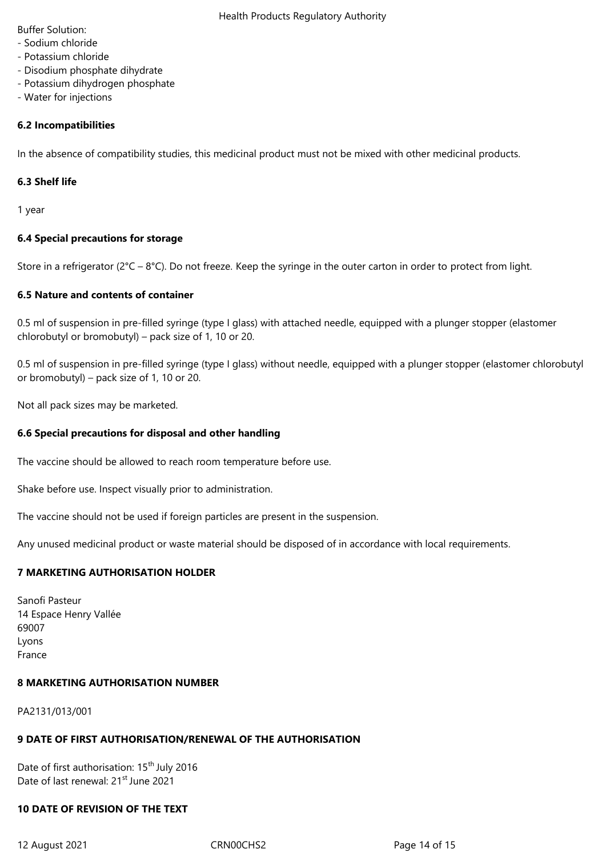Buffer Solution:

- Sodium chloride
- Potassium chloride
- Disodium phosphate dihydrate
- Potassium dihydrogen phosphate
- Water for injections

# **6.2 Incompatibilities**

In the absence of compatibility studies, this medicinal product must not be mixed with other medicinal products.

#### **6.3 Shelf life**

1 year

# **6.4 Special precautions for storage**

Store in a refrigerator ( $2^{\circ}C - 8^{\circ}C$ ). Do not freeze. Keep the syringe in the outer carton in order to protect from light.

# **6.5 Nature and contents of container**

0.5 ml of suspension in pre-filled syringe (type I glass) with attached needle, equipped with a plunger stopper (elastomer chlorobutyl or bromobutyl) – pack size of 1, 10 or 20.

0.5 ml of suspension in pre-filled syringe (type I glass) without needle, equipped with a plunger stopper (elastomer chlorobutyl or bromobutyl) – pack size of 1, 10 or 20.

Not all pack sizes may be marketed.

# **6.6 Special precautions for disposal and other handling**

The vaccine should be allowed to reach room temperature before use.

Shake before use. Inspect visually prior to administration.

The vaccine should not be used if foreign particles are present in the suspension.

Any unused medicinal product or waste material should be disposed of in accordance with local requirements.

# **7 MARKETING AUTHORISATION HOLDER**

Sanofi Pasteur 14 Espace Henry Vallée 69007 Lyons France

#### **8 MARKETING AUTHORISATION NUMBER**

PA2131/013/001

# **9 DATE OF FIRST AUTHORISATION/RENEWAL OF THE AUTHORISATION**

Date of first authorisation: 15<sup>th</sup> July 2016 Date of last renewal: 21<sup>st</sup> June 2021

# **10 DATE OF REVISION OF THE TEXT**

12 August 2021 CRN00CHS2 Page 14 of 15